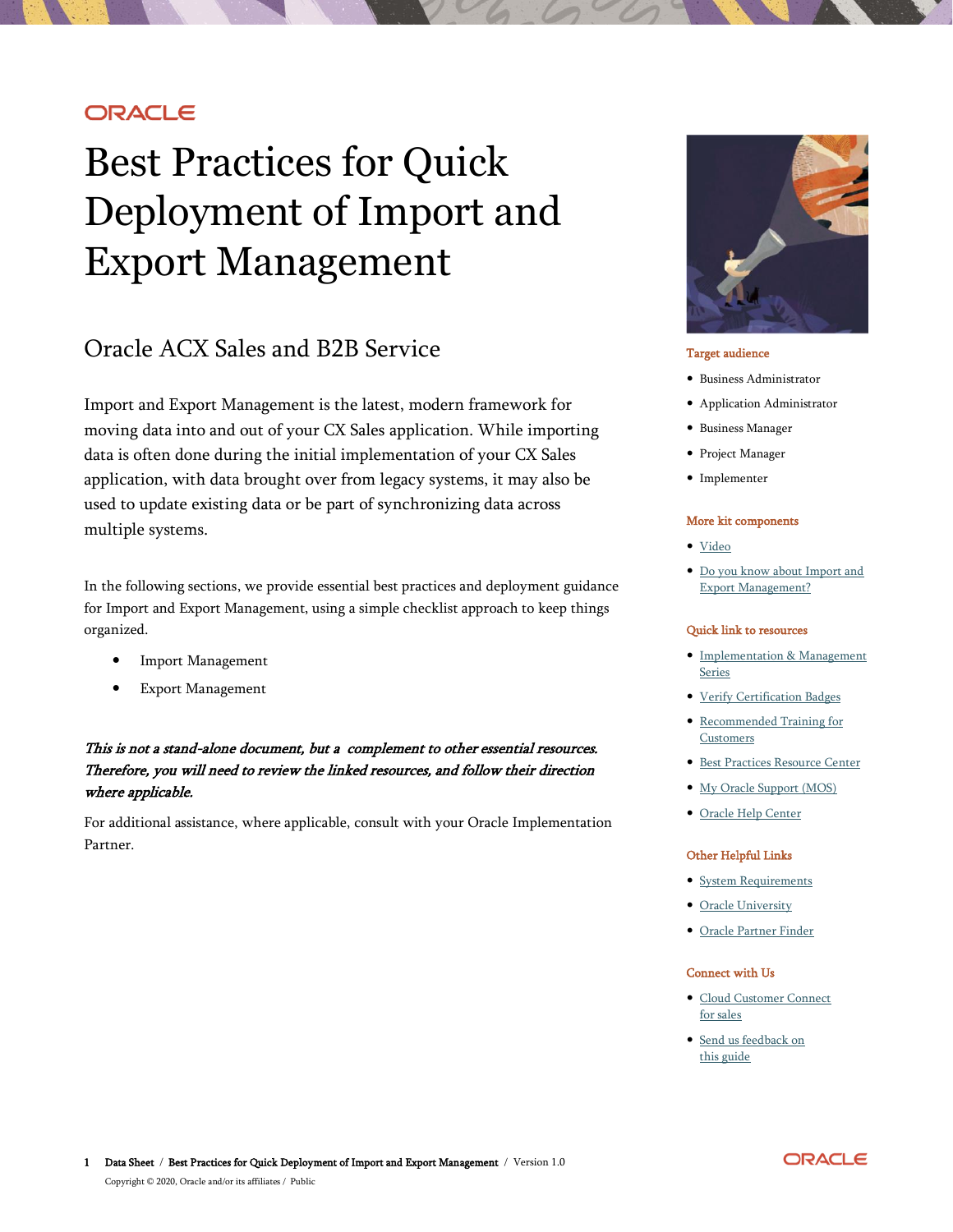## **ORACLE**

# Best Practices for Quick Deployment of Import and Export Management

# Oracle ACX Sales and B2B Service

Import and Export Management is the latest, modern framework for moving data into and out of your CX Sales application. While importing data is often done during the initial implementation of your CX Sales application, with data brought over from legacy systems, it may also be used to update existing data or be part of synchronizing data across multiple systems.

In the following sections, we provide essential best practices and deployment guidance for Import and Export Management, using a simple checklist approach to keep things organized.

- Import Management
- Export Management

### This is not a stand-alone document, but a complement to other essential resources. Therefore, you will need to review the linked resources, and follow their direction where applicable.

For additional assistance, where applicable, consult with your Oracle Implementation Partner.



#### Target audience

- Business Administrator
- Application Administrator
- Business Manager
- Project Manager
- Implementer

#### More kit components

- · [Video](https://www.youtube.com/watch?v=zkOpoiLNhjc)
- [Do you know about Import and](https://www.oracle.com/webfolder/cx-implementation/import-export-management-dyk.pdf)  [Export Management?](https://www.oracle.com/webfolder/cx-implementation/import-export-management-dyk.pdf)

#### Quick link to resources

- [Implementation & Management](https://www.oracle.com/a/ocom/docs/implementation-and-management-series.pdf)  [Series](https://www.oracle.com/a/ocom/docs/implementation-and-management-series.pdf)
- [Verify Certification Badges](https://www.youracclaim.com/org/oracle/verify)
- [Recommended Training for](https://www.oracle.com/a/ocom/docs/recommended-training-and-certification-for-customers.pdf)  **[Customers](https://www.oracle.com/a/ocom/docs/recommended-training-and-certification-for-customers.pdf)**
- [Best Practices Resource Center](https://www.oracle.com/a/ocom/docs/resource-centers-and-implementation-notes.pdf)
- [My Oracle Support \(MOS\)](https://support.oracle.com/epmos/faces/MosIndex.jspx?_afrLoop=578622290143934&_afrWindowMode=0&_adf.ctrl-state=2qo3ce9t9_53)
- [Oracle Help Center](http://www.oracle.com/pls/topic/lookup?ctx=cloud&id=engagement)

#### Other Helpful Links

- [System Requirements](https://www.oracle.com/system-requirements/)
- [Oracle University](https://education.oracle.com/saas-cx/cx-sales/pFamily_657)
- [Oracle Partner Finder](https://partner-finder.oracle.com/)

#### Connect with Us

- [Cloud Customer Connect](https://cloudcustomerconnect.oracle.com/resources/110dfe9610/summary)  [for sales](https://cloudcustomerconnect.oracle.com/resources/110dfe9610/summary)
- [Send us feedback on](mailto:cxcoe-bp_ww@oracle.com)  [this guide](mailto:cxcoe-bp_ww@oracle.com)

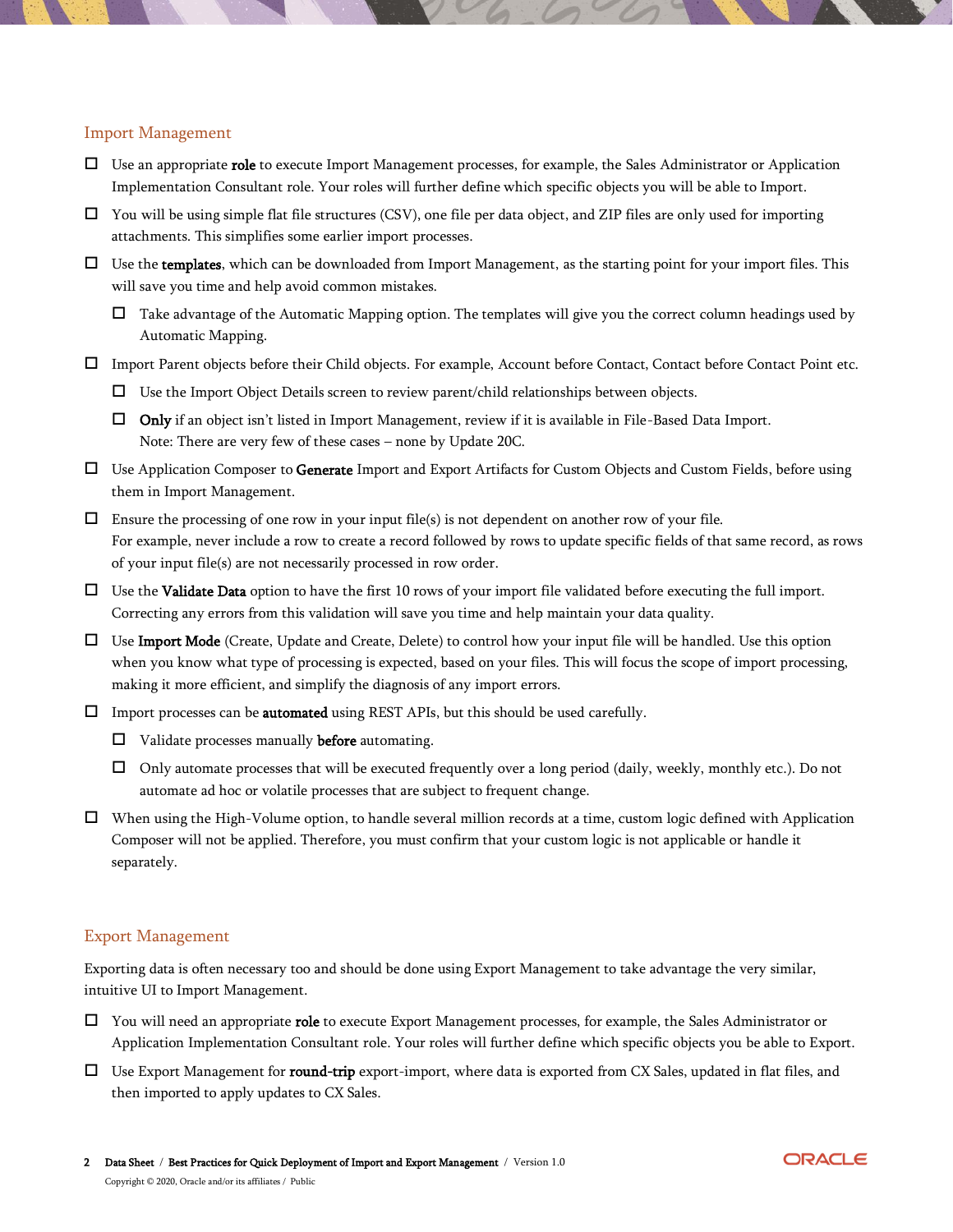#### Import Management

- $\Box$  Use an appropriate **role** to execute Import Management processes, for example, the Sales Administrator or Application Implementation Consultant role. Your roles will further define which specific objects you will be able to Import.
- $\Box$  You will be using simple flat file structures (CSV), one file per data object, and ZIP files are only used for importing attachments. This simplifies some earlier import processes.
- $\Box$  Use the templates, which can be downloaded from Import Management, as the starting point for your import files. This will save you time and help avoid common mistakes.
	- $\Box$  Take advantage of the Automatic Mapping option. The templates will give you the correct column headings used by Automatic Mapping.
- Import Parent objects before their Child objects. For example, Account before Contact, Contact before Contact Point etc.
	- Use the Import Object Details screen to review parent/child relationships between objects.
	- $\Box$  Only if an object isn't listed in Import Management, review if it is available in File-Based Data Import. Note: There are very few of these cases – none by Update 20C.
- □ Use Application Composer to Generate Import and Export Artifacts for Custom Objects and Custom Fields, before using them in Import Management.
- $\Box$  Ensure the processing of one row in your input file(s) is not dependent on another row of your file. For example, never include a row to create a record followed by rows to update specific fields of that same record, as rows of your input file(s) are not necessarily processed in row order.
- $\Box$  Use the **Validate Data** option to have the first 10 rows of your import file validated before executing the full import. Correcting any errors from this validation will save you time and help maintain your data quality.
- $\Box$  Use Import Mode (Create, Update and Create, Delete) to control how your input file will be handled. Use this option when you know what type of processing is expected, based on your files. This will focus the scope of import processing, making it more efficient, and simplify the diagnosis of any import errors.
- $\Box$  Import processes can be **automated** using REST APIs, but this should be used carefully.
	- $\Box$  Validate processes manually **before** automating.
	- Only automate processes that will be executed frequently over a long period (daily, weekly, monthly etc.). Do not automate ad hoc or volatile processes that are subject to frequent change.
- When using the High-Volume option, to handle several million records at a time, custom logic defined with Application Composer will not be applied. Therefore, you must confirm that your custom logic is not applicable or handle it separately.

#### Export Management

Exporting data is often necessary too and should be done using Export Management to take advantage the very similar, intuitive UI to Import Management.

- $\Box$  You will need an appropriate **role** to execute Export Management processes, for example, the Sales Administrator or Application Implementation Consultant role. Your roles will further define which specific objects you be able to Export.
- $\Box$  Use Export Management for **round-trip** export-import, where data is exported from CX Sales, updated in flat files, and then imported to apply updates to CX Sales.